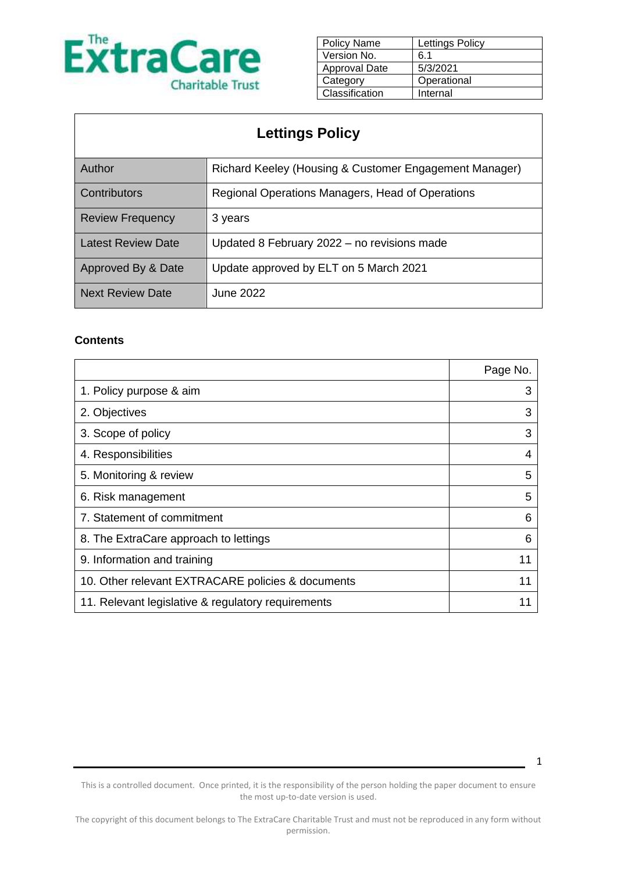

| <b>Policy Name</b> | Lettings Policy |
|--------------------|-----------------|
| Version No.        | 6.1             |
| Approval Date      | 5/3/2021        |
| Category           | Operational     |
| Classification     | Internal        |

| <b>Lettings Policy</b>    |                                                        |  |
|---------------------------|--------------------------------------------------------|--|
| Author                    | Richard Keeley (Housing & Customer Engagement Manager) |  |
| Contributors              | Regional Operations Managers, Head of Operations       |  |
| <b>Review Frequency</b>   | 3 years                                                |  |
| <b>Latest Review Date</b> | Updated 8 February 2022 - no revisions made            |  |
| Approved By & Date        | Update approved by ELT on 5 March 2021                 |  |
| <b>Next Review Date</b>   | June 2022                                              |  |

#### **Contents**

|                                                    | Page No. |
|----------------------------------------------------|----------|
| 1. Policy purpose & aim                            | 3        |
| 2. Objectives                                      | 3        |
| 3. Scope of policy                                 | 3        |
| 4. Responsibilities                                | 4        |
| 5. Monitoring & review                             | 5        |
| 6. Risk management                                 | 5        |
| 7. Statement of commitment                         | 6        |
| 8. The ExtraCare approach to lettings              | 6        |
| 9. Information and training                        | 11       |
| 10. Other relevant EXTRACARE policies & documents  | 11       |
| 11. Relevant legislative & regulatory requirements |          |

This is a controlled document. Once printed, it is the responsibility of the person holding the paper document to ensure the most up-to-date version is used.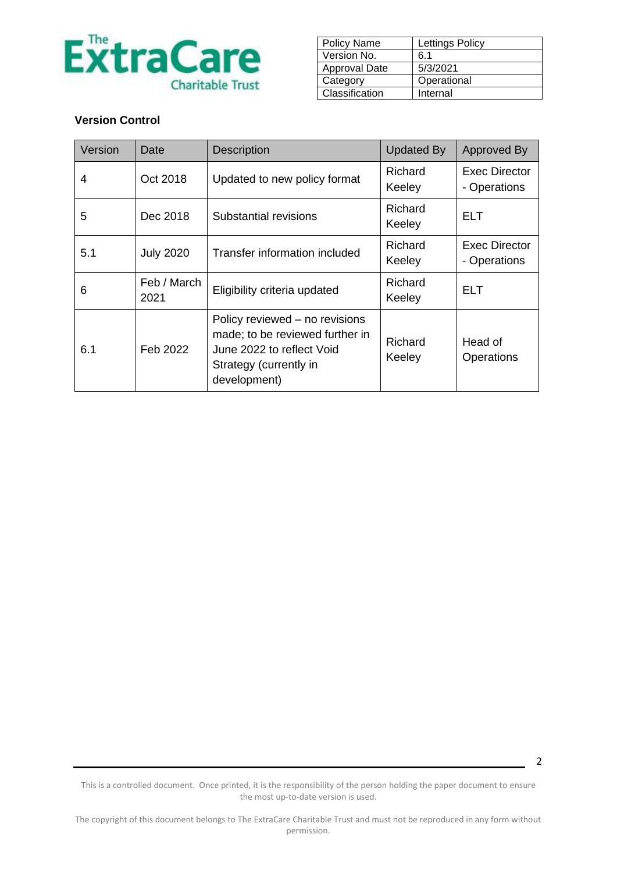

| <b>Policy Name</b>   | <b>Lettings Policy</b> |
|----------------------|------------------------|
| Version No.          | 6.1                    |
| <b>Approval Date</b> | 5/3/2021               |
| Category             | Operational            |
| Classification       | Internal               |

#### **Version Control**

| Version | Date                | <b>Description</b>                                                                                                                       | <b>Updated By</b> | Approved By                          |
|---------|---------------------|------------------------------------------------------------------------------------------------------------------------------------------|-------------------|--------------------------------------|
| 4       | Oct 2018            | Updated to new policy format                                                                                                             | Richard<br>Keeley | Exec Director<br>- Operations        |
| 5       | Dec 2018            | Substantial revisions                                                                                                                    | Richard<br>Keeley | ELT                                  |
| 5.1     | <b>July 2020</b>    | Transfer information included                                                                                                            | Richard<br>Keeley | <b>Exec Director</b><br>- Operations |
| 6       | Feb / March<br>2021 | Eligibility criteria updated                                                                                                             | Richard<br>Keeley | ELT                                  |
| 6.1     | Feb 2022            | Policy reviewed – no revisions<br>made; to be reviewed further in<br>June 2022 to reflect Void<br>Strategy (currently in<br>development) | Richard<br>Keeley | Head of<br>Operations                |

This is a controlled document. Once printed, it is the responsibility of the person holding the paper document to ensure the most up-to-date version is used.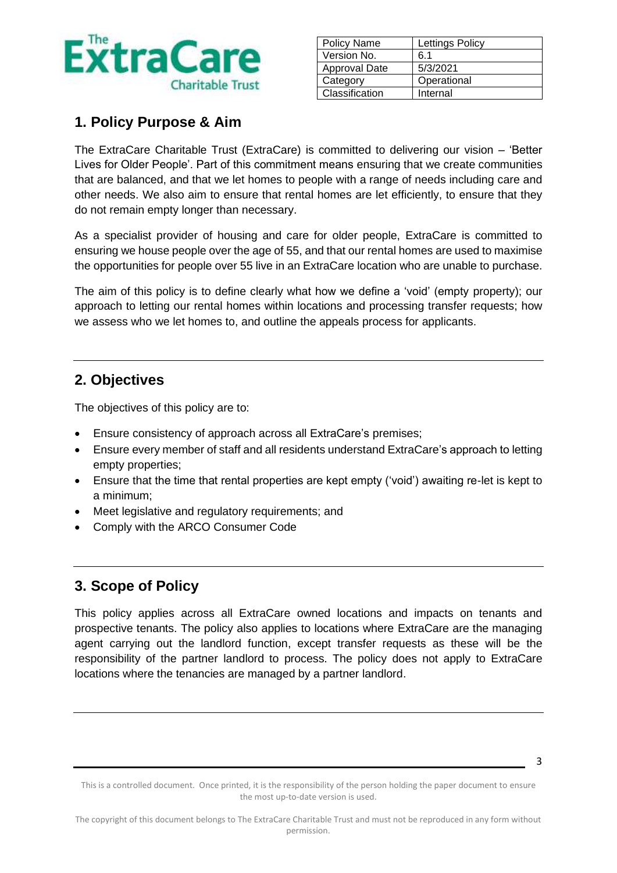

| <b>Policy Name</b>   | Lettings Policy |
|----------------------|-----------------|
| Version No.          | 6.1             |
| <b>Approval Date</b> | 5/3/2021        |
| Category             | Operational     |
| Classification       | Internal        |

# **1. Policy Purpose & Aim**

The ExtraCare Charitable Trust (ExtraCare) is committed to delivering our vision – 'Better Lives for Older People'. Part of this commitment means ensuring that we create communities that are balanced, and that we let homes to people with a range of needs including care and other needs. We also aim to ensure that rental homes are let efficiently, to ensure that they do not remain empty longer than necessary.

As a specialist provider of housing and care for older people, ExtraCare is committed to ensuring we house people over the age of 55, and that our rental homes are used to maximise the opportunities for people over 55 live in an ExtraCare location who are unable to purchase.

The aim of this policy is to define clearly what how we define a 'void' (empty property); our approach to letting our rental homes within locations and processing transfer requests; how we assess who we let homes to, and outline the appeals process for applicants.

## **2. Objectives**

The objectives of this policy are to:

- Ensure consistency of approach across all ExtraCare's premises;
- Ensure every member of staff and all residents understand ExtraCare's approach to letting empty properties;
- Ensure that the time that rental properties are kept empty ('void') awaiting re-let is kept to a minimum;
- Meet legislative and regulatory requirements; and
- Comply with the ARCO Consumer Code

# **3. Scope of Policy**

This policy applies across all ExtraCare owned locations and impacts on tenants and prospective tenants. The policy also applies to locations where ExtraCare are the managing agent carrying out the landlord function, except transfer requests as these will be the responsibility of the partner landlord to process. The policy does not apply to ExtraCare locations where the tenancies are managed by a partner landlord.

<sup>3</sup>

This is a controlled document. Once printed, it is the responsibility of the person holding the paper document to ensure the most up-to-date version is used.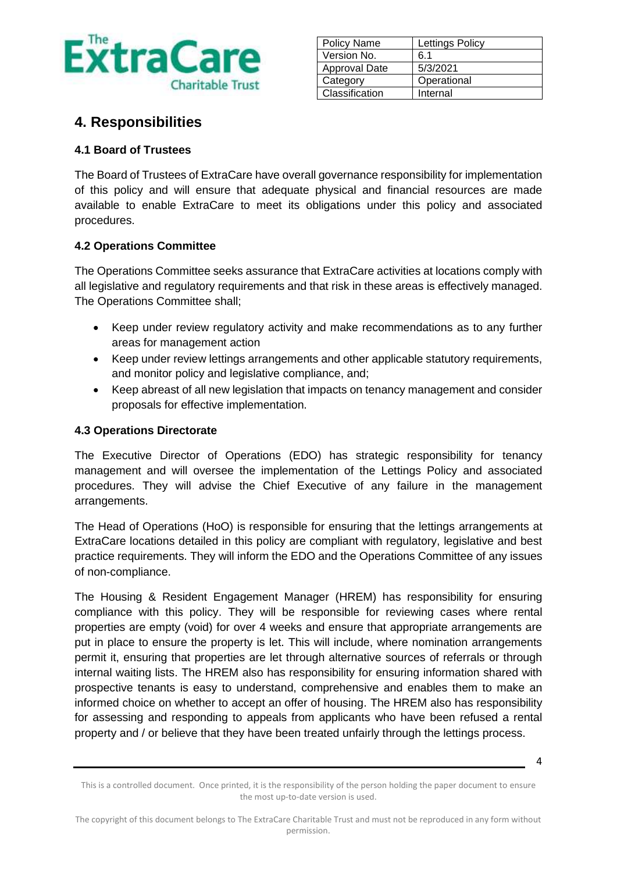

| <b>Policy Name</b> | <b>Lettings Policy</b> |
|--------------------|------------------------|
| Version No.        | 6.1                    |
| Approval Date      | 5/3/2021               |
| Category           | Operational            |
| Classification     | Internal               |

### **4. Responsibilities**

### **4.1 Board of Trustees**

The Board of Trustees of ExtraCare have overall governance responsibility for implementation of this policy and will ensure that adequate physical and financial resources are made available to enable ExtraCare to meet its obligations under this policy and associated procedures.

#### **4.2 Operations Committee**

The Operations Committee seeks assurance that ExtraCare activities at locations comply with all legislative and regulatory requirements and that risk in these areas is effectively managed. The Operations Committee shall;

- Keep under review regulatory activity and make recommendations as to any further areas for management action
- Keep under review lettings arrangements and other applicable statutory requirements, and monitor policy and legislative compliance, and;
- Keep abreast of all new legislation that impacts on tenancy management and consider proposals for effective implementation.

#### **4.3 Operations Directorate**

The Executive Director of Operations (EDO) has strategic responsibility for tenancy management and will oversee the implementation of the Lettings Policy and associated procedures. They will advise the Chief Executive of any failure in the management arrangements.

The Head of Operations (HoO) is responsible for ensuring that the lettings arrangements at ExtraCare locations detailed in this policy are compliant with regulatory, legislative and best practice requirements. They will inform the EDO and the Operations Committee of any issues of non-compliance.

The Housing & Resident Engagement Manager (HREM) has responsibility for ensuring compliance with this policy. They will be responsible for reviewing cases where rental properties are empty (void) for over 4 weeks and ensure that appropriate arrangements are put in place to ensure the property is let. This will include, where nomination arrangements permit it, ensuring that properties are let through alternative sources of referrals or through internal waiting lists. The HREM also has responsibility for ensuring information shared with prospective tenants is easy to understand, comprehensive and enables them to make an informed choice on whether to accept an offer of housing. The HREM also has responsibility for assessing and responding to appeals from applicants who have been refused a rental property and / or believe that they have been treated unfairly through the lettings process.

This is a controlled document. Once printed, it is the responsibility of the person holding the paper document to ensure the most up-to-date version is used.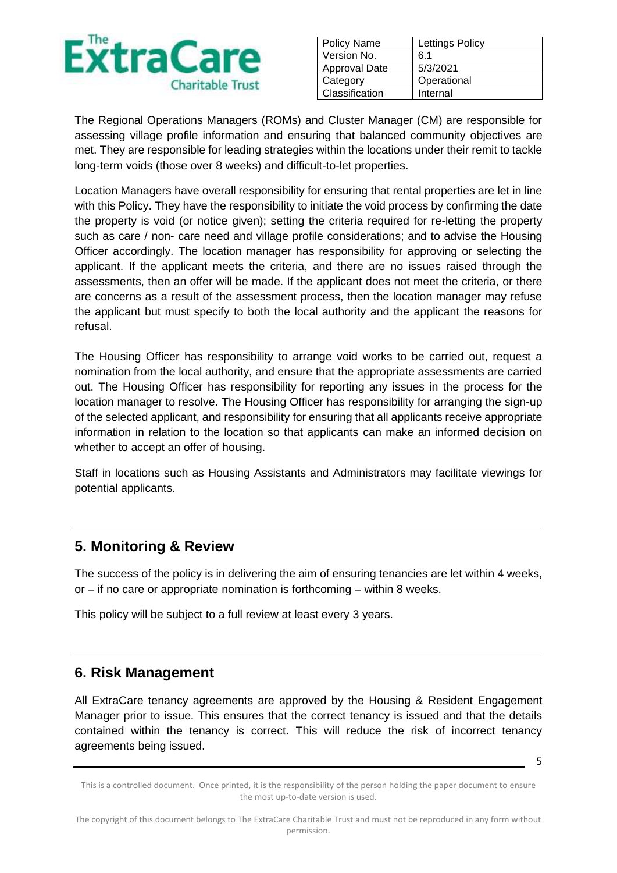

| <b>Policy Name</b> | Lettings Policy |
|--------------------|-----------------|
| Version No.        | 6.1             |
| Approval Date      | 5/3/2021        |
| Category           | Operational     |
| Classification     | Internal        |

The Regional Operations Managers (ROMs) and Cluster Manager (CM) are responsible for assessing village profile information and ensuring that balanced community objectives are met. They are responsible for leading strategies within the locations under their remit to tackle long-term voids (those over 8 weeks) and difficult-to-let properties.

Location Managers have overall responsibility for ensuring that rental properties are let in line with this Policy. They have the responsibility to initiate the void process by confirming the date the property is void (or notice given); setting the criteria required for re-letting the property such as care / non- care need and village profile considerations; and to advise the Housing Officer accordingly. The location manager has responsibility for approving or selecting the applicant. If the applicant meets the criteria, and there are no issues raised through the assessments, then an offer will be made. If the applicant does not meet the criteria, or there are concerns as a result of the assessment process, then the location manager may refuse the applicant but must specify to both the local authority and the applicant the reasons for refusal.

The Housing Officer has responsibility to arrange void works to be carried out, request a nomination from the local authority, and ensure that the appropriate assessments are carried out. The Housing Officer has responsibility for reporting any issues in the process for the location manager to resolve. The Housing Officer has responsibility for arranging the sign-up of the selected applicant, and responsibility for ensuring that all applicants receive appropriate information in relation to the location so that applicants can make an informed decision on whether to accept an offer of housing.

Staff in locations such as Housing Assistants and Administrators may facilitate viewings for potential applicants.

## **5. Monitoring & Review**

The success of the policy is in delivering the aim of ensuring tenancies are let within 4 weeks, or – if no care or appropriate nomination is forthcoming – within 8 weeks.

This policy will be subject to a full review at least every 3 years.

### **6. Risk Management**

All ExtraCare tenancy agreements are approved by the Housing & Resident Engagement Manager prior to issue. This ensures that the correct tenancy is issued and that the details contained within the tenancy is correct. This will reduce the risk of incorrect tenancy agreements being issued.

This is a controlled document. Once printed, it is the responsibility of the person holding the paper document to ensure the most up-to-date version is used.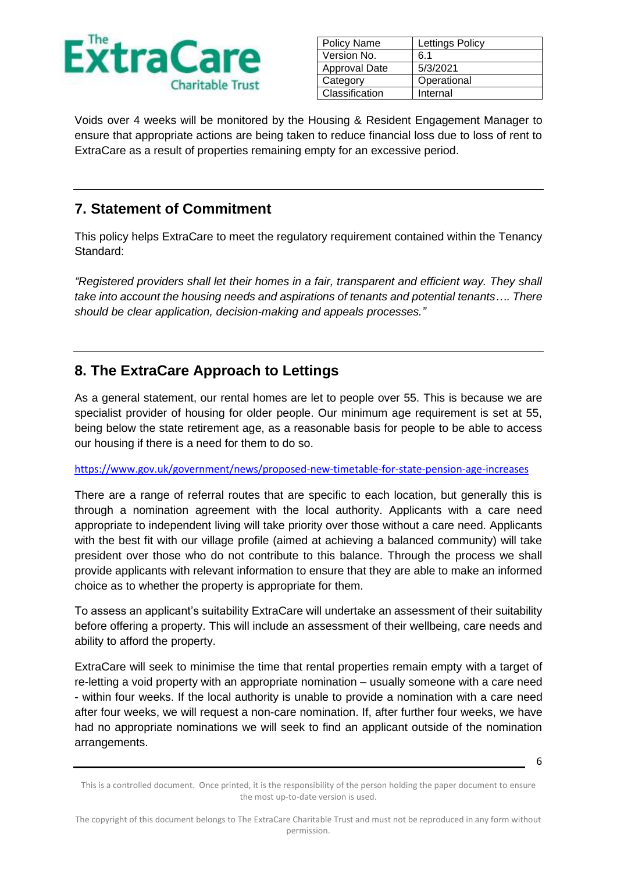

| <b>Policy Name</b> | <b>Lettings Policy</b> |
|--------------------|------------------------|
| Version No.        | 6.1                    |
| Approval Date      | 5/3/2021               |
| Category           | Operational            |
| Classification     | Internal               |

Voids over 4 weeks will be monitored by the Housing & Resident Engagement Manager to ensure that appropriate actions are being taken to reduce financial loss due to loss of rent to ExtraCare as a result of properties remaining empty for an excessive period.

## **7. Statement of Commitment**

This policy helps ExtraCare to meet the regulatory requirement contained within the Tenancy Standard:

*"Registered providers shall let their homes in a fair, transparent and efficient way. They shall take into account the housing needs and aspirations of tenants and potential tenants…. There should be clear application, decision-making and appeals processes."*

# **8. The ExtraCare Approach to Lettings**

As a general statement, our rental homes are let to people over 55. This is because we are specialist provider of housing for older people. Our minimum age requirement is set at 55, being below the state retirement age, as a reasonable basis for people to be able to access our housing if there is a need for them to do so.

<https://www.gov.uk/government/news/proposed-new-timetable-for-state-pension-age-increases>

There are a range of referral routes that are specific to each location, but generally this is through a nomination agreement with the local authority. Applicants with a care need appropriate to independent living will take priority over those without a care need. Applicants with the best fit with our village profile (aimed at achieving a balanced community) will take president over those who do not contribute to this balance. Through the process we shall provide applicants with relevant information to ensure that they are able to make an informed choice as to whether the property is appropriate for them.

To assess an applicant's suitability ExtraCare will undertake an assessment of their suitability before offering a property. This will include an assessment of their wellbeing, care needs and ability to afford the property.

ExtraCare will seek to minimise the time that rental properties remain empty with a target of re-letting a void property with an appropriate nomination – usually someone with a care need - within four weeks. If the local authority is unable to provide a nomination with a care need after four weeks, we will request a non-care nomination. If, after further four weeks, we have had no appropriate nominations we will seek to find an applicant outside of the nomination arrangements.

This is a controlled document. Once printed, it is the responsibility of the person holding the paper document to ensure the most up-to-date version is used.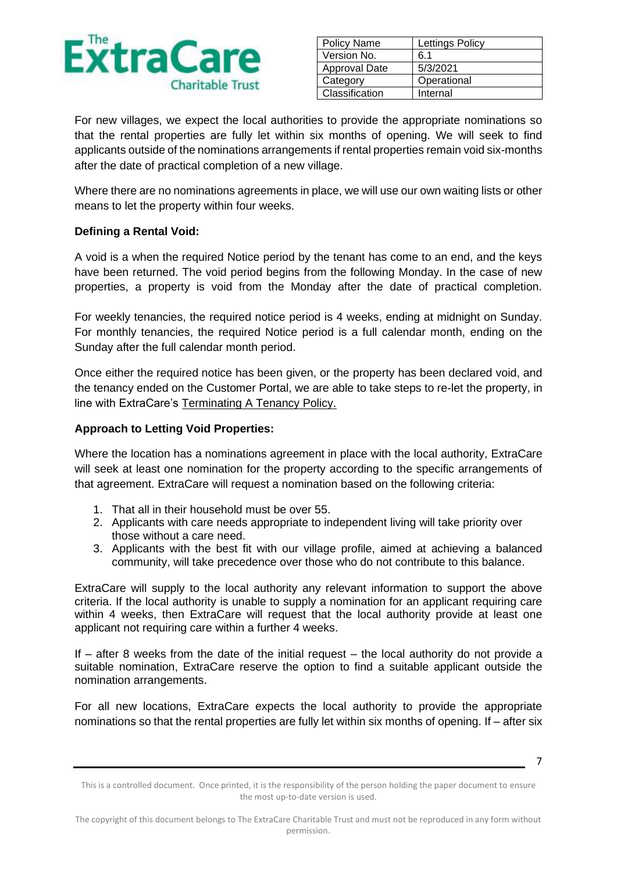

| <b>Policy Name</b> | Lettings Policy |
|--------------------|-----------------|
| Version No.        | 6 1             |
| Approval Date      | 5/3/2021        |
| Category           | Operational     |
| Classification     | Internal        |

For new villages, we expect the local authorities to provide the appropriate nominations so that the rental properties are fully let within six months of opening. We will seek to find applicants outside of the nominations arrangements if rental properties remain void six-months after the date of practical completion of a new village.

Where there are no nominations agreements in place, we will use our own waiting lists or other means to let the property within four weeks.

#### **Defining a Rental Void:**

A void is a when the required Notice period by the tenant has come to an end, and the keys have been returned. The void period begins from the following Monday. In the case of new properties, a property is void from the Monday after the date of practical completion.

For weekly tenancies, the required notice period is 4 weeks, ending at midnight on Sunday. For monthly tenancies, the required Notice period is a full calendar month, ending on the Sunday after the full calendar month period.

Once either the required notice has been given, or the property has been declared void, and the tenancy ended on the Customer Portal, we are able to take steps to re-let the property, in line with ExtraCare's Terminating A Tenancy Policy.

#### **Approach to Letting Void Properties:**

Where the location has a nominations agreement in place with the local authority, ExtraCare will seek at least one nomination for the property according to the specific arrangements of that agreement. ExtraCare will request a nomination based on the following criteria:

- 1. That all in their household must be over 55.
- 2. Applicants with care needs appropriate to independent living will take priority over those without a care need.
- 3. Applicants with the best fit with our village profile, aimed at achieving a balanced community, will take precedence over those who do not contribute to this balance.

ExtraCare will supply to the local authority any relevant information to support the above criteria. If the local authority is unable to supply a nomination for an applicant requiring care within 4 weeks, then ExtraCare will request that the local authority provide at least one applicant not requiring care within a further 4 weeks.

If  $-$  after 8 weeks from the date of the initial request  $-$  the local authority do not provide a suitable nomination, ExtraCare reserve the option to find a suitable applicant outside the nomination arrangements.

For all new locations, ExtraCare expects the local authority to provide the appropriate nominations so that the rental properties are fully let within six months of opening. If – after six

This is a controlled document. Once printed, it is the responsibility of the person holding the paper document to ensure the most up-to-date version is used.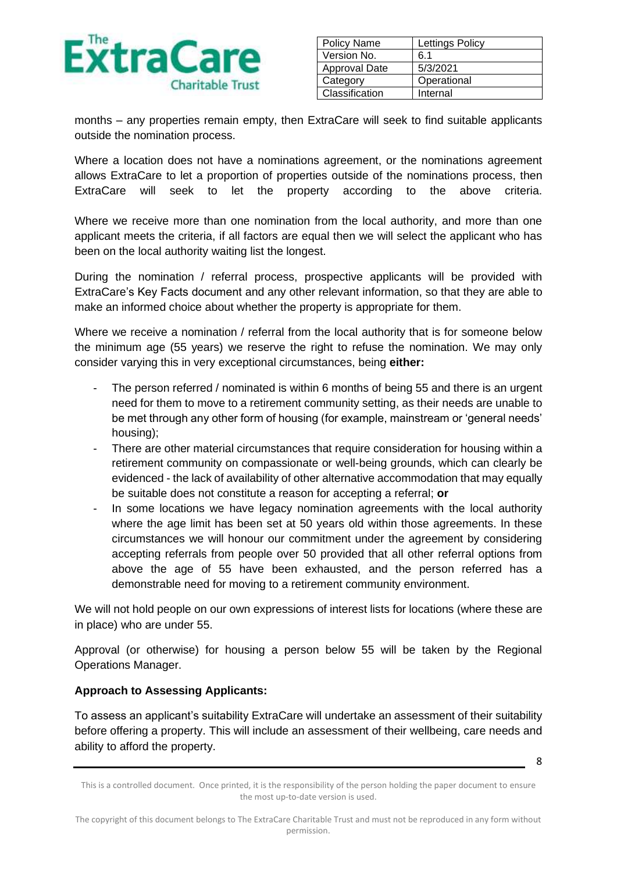

| Policy Name          | Lettings Policy |
|----------------------|-----------------|
| Version No.          | 6 1             |
| <b>Approval Date</b> | 5/3/2021        |
| Category             | Operational     |
| Classification       | Internal        |

months – any properties remain empty, then ExtraCare will seek to find suitable applicants outside the nomination process.

Where a location does not have a nominations agreement, or the nominations agreement allows ExtraCare to let a proportion of properties outside of the nominations process, then ExtraCare will seek to let the property according to the above criteria.

Where we receive more than one nomination from the local authority, and more than one applicant meets the criteria, if all factors are equal then we will select the applicant who has been on the local authority waiting list the longest.

During the nomination / referral process, prospective applicants will be provided with ExtraCare's Key Facts document and any other relevant information, so that they are able to make an informed choice about whether the property is appropriate for them.

Where we receive a nomination / referral from the local authority that is for someone below the minimum age (55 years) we reserve the right to refuse the nomination. We may only consider varying this in very exceptional circumstances, being **either:**

- The person referred / nominated is within 6 months of being 55 and there is an urgent need for them to move to a retirement community setting, as their needs are unable to be met through any other form of housing (for example, mainstream or 'general needs' housing);
- There are other material circumstances that require consideration for housing within a retirement community on compassionate or well-being grounds, which can clearly be evidenced - the lack of availability of other alternative accommodation that may equally be suitable does not constitute a reason for accepting a referral; **or**
- In some locations we have legacy nomination agreements with the local authority where the age limit has been set at 50 years old within those agreements. In these circumstances we will honour our commitment under the agreement by considering accepting referrals from people over 50 provided that all other referral options from above the age of 55 have been exhausted, and the person referred has a demonstrable need for moving to a retirement community environment.

We will not hold people on our own expressions of interest lists for locations (where these are in place) who are under 55.

Approval (or otherwise) for housing a person below 55 will be taken by the Regional Operations Manager.

### **Approach to Assessing Applicants:**

To assess an applicant's suitability ExtraCare will undertake an assessment of their suitability before offering a property. This will include an assessment of their wellbeing, care needs and ability to afford the property.

This is a controlled document. Once printed, it is the responsibility of the person holding the paper document to ensure the most up-to-date version is used.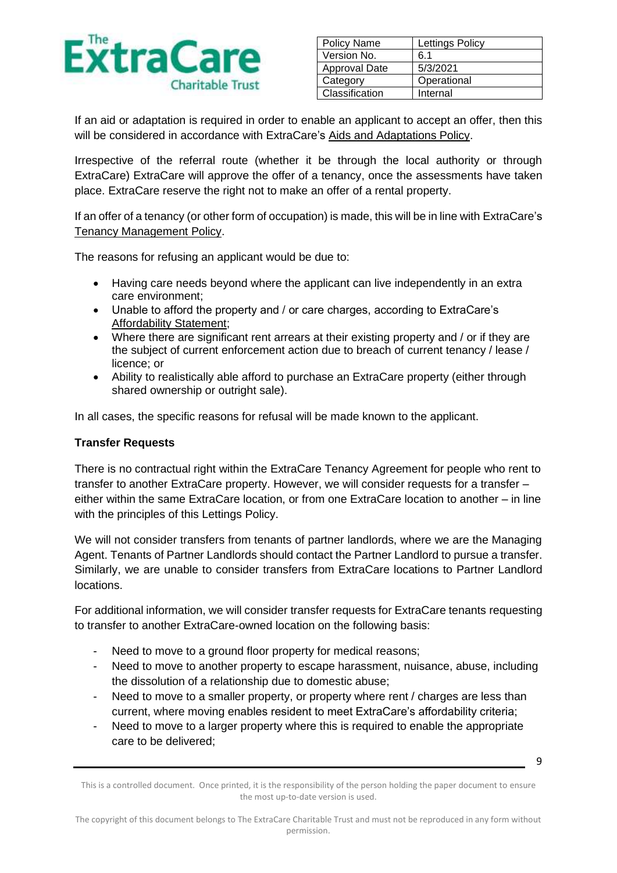

| <b>Policy Name</b> | Lettings Policy |
|--------------------|-----------------|
| Version No.        | 6.1             |
| Approval Date      | 5/3/2021        |
| Category           | Operational     |
| Classification     | Internal        |

If an aid or adaptation is required in order to enable an applicant to accept an offer, then this will be considered in accordance with ExtraCare's Aids and Adaptations Policy.

Irrespective of the referral route (whether it be through the local authority or through ExtraCare) ExtraCare will approve the offer of a tenancy, once the assessments have taken place. ExtraCare reserve the right not to make an offer of a rental property.

If an offer of a tenancy (or other form of occupation) is made, this will be in line with ExtraCare's Tenancy Management Policy.

The reasons for refusing an applicant would be due to:

- Having care needs beyond where the applicant can live independently in an extra care environment;
- Unable to afford the property and / or care charges, according to ExtraCare's Affordability Statement;
- Where there are significant rent arrears at their existing property and / or if they are the subject of current enforcement action due to breach of current tenancy / lease / licence; or
- Ability to realistically able afford to purchase an ExtraCare property (either through shared ownership or outright sale).

In all cases, the specific reasons for refusal will be made known to the applicant.

#### **Transfer Requests**

There is no contractual right within the ExtraCare Tenancy Agreement for people who rent to transfer to another ExtraCare property. However, we will consider requests for a transfer – either within the same ExtraCare location, or from one ExtraCare location to another – in line with the principles of this Lettings Policy.

We will not consider transfers from tenants of partner landlords, where we are the Managing Agent. Tenants of Partner Landlords should contact the Partner Landlord to pursue a transfer. Similarly, we are unable to consider transfers from ExtraCare locations to Partner Landlord locations.

For additional information, we will consider transfer requests for ExtraCare tenants requesting to transfer to another ExtraCare-owned location on the following basis:

- Need to move to a ground floor property for medical reasons;
- Need to move to another property to escape harassment, nuisance, abuse, including the dissolution of a relationship due to domestic abuse;
- Need to move to a smaller property, or property where rent / charges are less than current, where moving enables resident to meet ExtraCare's affordability criteria;
- Need to move to a larger property where this is required to enable the appropriate care to be delivered;

This is a controlled document. Once printed, it is the responsibility of the person holding the paper document to ensure the most up-to-date version is used.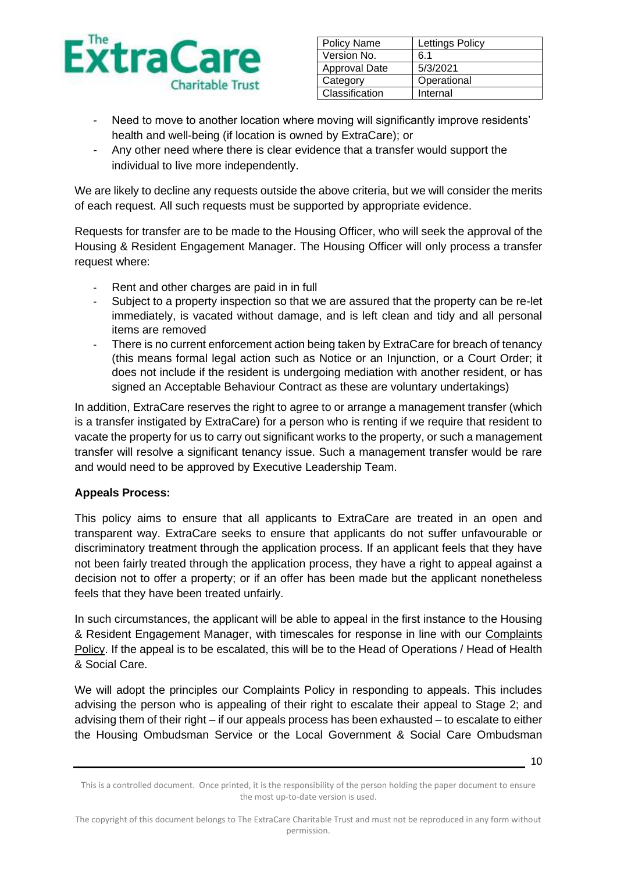

| <b>Policy Name</b>   | Lettings Policy |
|----------------------|-----------------|
| Version No.          | 6 1             |
| <b>Approval Date</b> | 5/3/2021        |
| Category             | Operational     |
| Classification       | Internal        |

- Need to move to another location where moving will significantly improve residents' health and well-being (if location is owned by ExtraCare); or
- Any other need where there is clear evidence that a transfer would support the individual to live more independently.

We are likely to decline any requests outside the above criteria, but we will consider the merits of each request. All such requests must be supported by appropriate evidence.

Requests for transfer are to be made to the Housing Officer, who will seek the approval of the Housing & Resident Engagement Manager. The Housing Officer will only process a transfer request where:

- Rent and other charges are paid in in full
- Subject to a property inspection so that we are assured that the property can be re-let immediately, is vacated without damage, and is left clean and tidy and all personal items are removed
- There is no current enforcement action being taken by ExtraCare for breach of tenancy (this means formal legal action such as Notice or an Injunction, or a Court Order; it does not include if the resident is undergoing mediation with another resident, or has signed an [Acceptable Behaviour Contract](file://///EXT1-FS01/DATA/Head%20Office/Housing/Housing%20Guide%20Information/Templates/ASB/ABC%20Template%20v1.docx) as these are voluntary undertakings)

In addition, ExtraCare reserves the right to agree to or arrange a management transfer (which is a transfer instigated by ExtraCare) for a person who is renting if we require that resident to vacate the property for us to carry out significant works to the property, or such a management transfer will resolve a significant tenancy issue. Such a management transfer would be rare and would need to be approved by Executive Leadership Team.

### **Appeals Process:**

This policy aims to ensure that all applicants to ExtraCare are treated in an open and transparent way. ExtraCare seeks to ensure that applicants do not suffer unfavourable or discriminatory treatment through the application process. If an applicant feels that they have not been fairly treated through the application process, they have a right to appeal against a decision not to offer a property; or if an offer has been made but the applicant nonetheless feels that they have been treated unfairly.

In such circumstances, the applicant will be able to appeal in the first instance to the Housing & Resident Engagement Manager, with timescales for response in line with our Complaints Policy. If the appeal is to be escalated, this will be to the Head of Operations / Head of Health & Social Care.

We will adopt the principles our Complaints Policy in responding to appeals. This includes advising the person who is appealing of their right to escalate their appeal to Stage 2; and advising them of their right – if our appeals process has been exhausted – to escalate to either the Housing Ombudsman Service or the Local Government & Social Care Ombudsman

This is a controlled document. Once printed, it is the responsibility of the person holding the paper document to ensure the most up-to-date version is used.